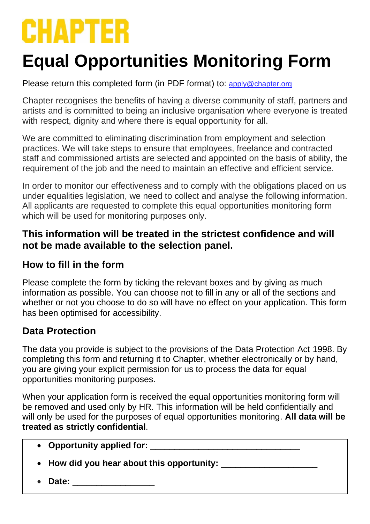# **CHAPTER**

# **Equal Opportunities Monitoring Form**

Please return this completed form (in PDF format) to: [apply@chapter.org](mailto:apply@chapter.org)

Chapter recognises the benefits of having a diverse community of staff, partners and artists and is committed to being an inclusive organisation where everyone is treated with respect, dignity and where there is equal opportunity for all.

We are committed to eliminating discrimination from employment and selection practices. We will take steps to ensure that employees, freelance and contracted staff and commissioned artists are selected and appointed on the basis of ability, the requirement of the job and the need to maintain an effective and efficient service.

In order to monitor our effectiveness and to comply with the obligations placed on us under equalities legislation, we need to collect and analyse the following information. All applicants are requested to complete this equal opportunities monitoring form which will be used for monitoring purposes only.

#### **This information will be treated in the strictest confidence and will not be made available to the selection panel.**

### **How to fill in the form**

Please complete the form by ticking the relevant boxes and by giving as much information as possible. You can choose not to fill in any or all of the sections and whether or not you choose to do so will have no effect on your application. This form has been optimised for accessibility.

# **Data Protection**

The data you provide is subject to the provisions of the Data Protection Act 1998. By completing this form and returning it to Chapter, whether electronically or by hand, you are giving your explicit permission for us to process the data for equal opportunities monitoring purposes.

When your application form is received the equal opportunities monitoring form will be removed and used only by HR. This information will be held confidentially and will only be used for the purposes of equal opportunities monitoring. **All data will be treated as strictly confidential**.

- Opportunity applied for:
- **How did you hear about this opportunity:** \_\_\_\_\_\_\_\_\_\_\_\_\_\_\_\_\_\_\_\_
- **Date:** \_\_\_\_\_\_\_\_\_\_\_\_\_\_\_\_\_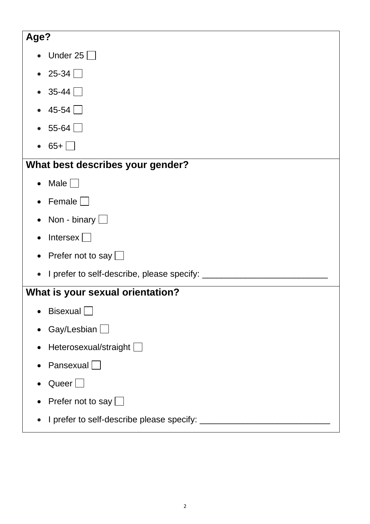| Age?                                             |
|--------------------------------------------------|
| Under 25 $\Box$                                  |
| $25-34$ $\Box$<br>$\bullet$                      |
| $35-44$ $\Box$                                   |
| $45-54$ $\Box$                                   |
| 55-64 $\Box$                                     |
| $65 + \Box$                                      |
| What best describes your gender?                 |
| Male $\Box$                                      |
| Female $\Box$                                    |
| Non - binary $\Box$                              |
| Intersex $\Box$                                  |
| Prefer not to say $\Box$                         |
| I prefer to self-describe, please specify: _____ |
| What is your sexual orientation?                 |
| Bisexual                                         |
| Gay/Lesbian $\Box$                               |
| Heterosexual/straight                            |
| Pansexual $\Box$                                 |
| Queer $\Box$                                     |
| Prefer not to say $\Box$                         |
| I prefer to self-describe please specify:        |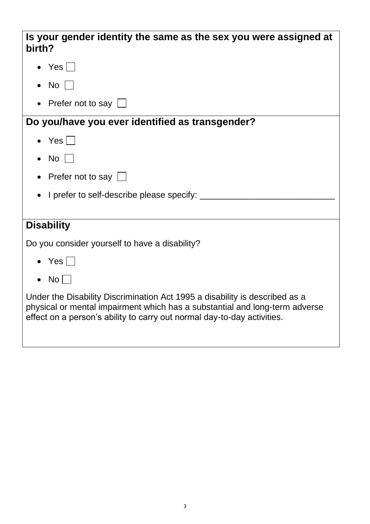| Is your gender identity the same as the sex you were assigned at<br>birth?                                                                                                                                                            |
|---------------------------------------------------------------------------------------------------------------------------------------------------------------------------------------------------------------------------------------|
| • Yes $\vert$ $\vert$                                                                                                                                                                                                                 |
| No <sub>1</sub>                                                                                                                                                                                                                       |
| Prefer not to say $\Box$                                                                                                                                                                                                              |
| Do you/have you ever identified as transgender?                                                                                                                                                                                       |
| $\bullet$ Yes                                                                                                                                                                                                                         |
| No                                                                                                                                                                                                                                    |
| Prefer not to say $\Box$                                                                                                                                                                                                              |
| I prefer to self-describe please specify: _                                                                                                                                                                                           |
|                                                                                                                                                                                                                                       |
| <b>Disability</b>                                                                                                                                                                                                                     |
| Do you consider yourself to have a disability?                                                                                                                                                                                        |
| $\bullet$ Yes                                                                                                                                                                                                                         |
| No                                                                                                                                                                                                                                    |
| Under the Disability Discrimination Act 1995 a disability is described as a<br>physical or mental impairment which has a substantial and long-term adverse<br>effect on a person's ability to carry out normal day-to-day activities. |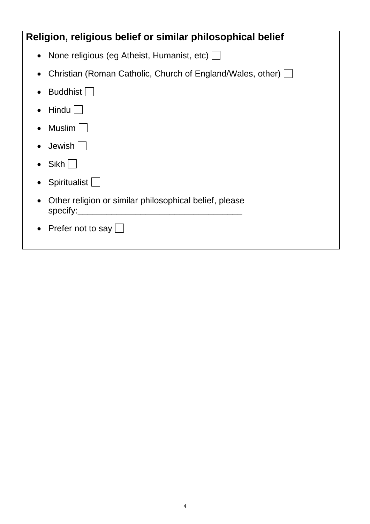| Religion, religious belief or similar philosophical belief                      |  |
|---------------------------------------------------------------------------------|--|
| None religious (eg Atheist, Humanist, etc) $\Box$<br>$\bullet$                  |  |
| Christian (Roman Catholic, Church of England/Wales, other) [                    |  |
| Buddhist    <br>$\bullet$                                                       |  |
| Hindu  <br>$\bullet$                                                            |  |
| Muslim                                                                          |  |
| $Jewish$                                                                        |  |
| $Sikh$                                                                          |  |
| Spiritualist                                                                    |  |
| Other religion or similar philosophical belief, please<br>$\bullet$<br>specify: |  |
| Prefer not to say $\lfloor$                                                     |  |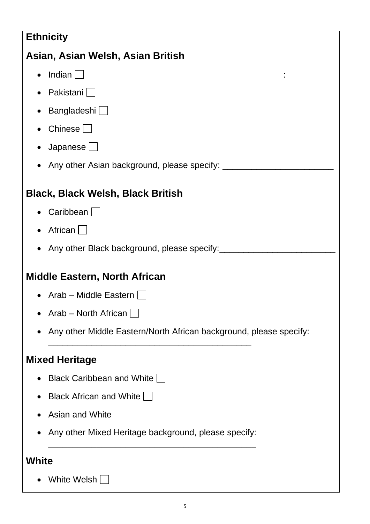# **Ethnicity**

# **Asian, Asian Welsh, Asian British**

- $\bullet$  Indian  $\Box$
- Pakistani $\Box$
- $\bullet$  Bangladeshi $\Box$
- Chinese  $\Box$
- Japanese $\Box$
- Any other Asian background, please specify: \_\_\_\_\_\_\_\_\_\_\_\_\_\_\_\_\_\_\_\_\_\_\_\_\_\_\_\_\_\_\_\_\_\_

# **Black, Black Welsh, Black British**

- Caribbean  $\Box$
- African  $\Box$
- Any other Black background, please specify:

# **Middle Eastern, North African**

- Arab Middle Eastern  $\Box$
- Arab North African  $\Box$
- Any other Middle Eastern/North African background, please specify:

# **Mixed Heritage**

- Black Caribbean and White  $\Box$
- Black African and White  $\Box$
- Asian and White
- Any other Mixed Heritage background, please specify: \_\_\_\_\_\_\_\_\_\_\_\_\_\_\_\_\_\_\_\_\_\_\_\_\_\_\_\_\_\_\_\_\_\_\_\_\_\_\_\_\_\_\_

\_\_\_\_\_\_\_\_\_\_\_\_\_\_\_\_\_\_\_\_\_\_\_\_\_\_\_\_\_\_\_\_\_\_\_\_\_\_\_\_\_\_

# **White**

• White Welsh  $\Box$